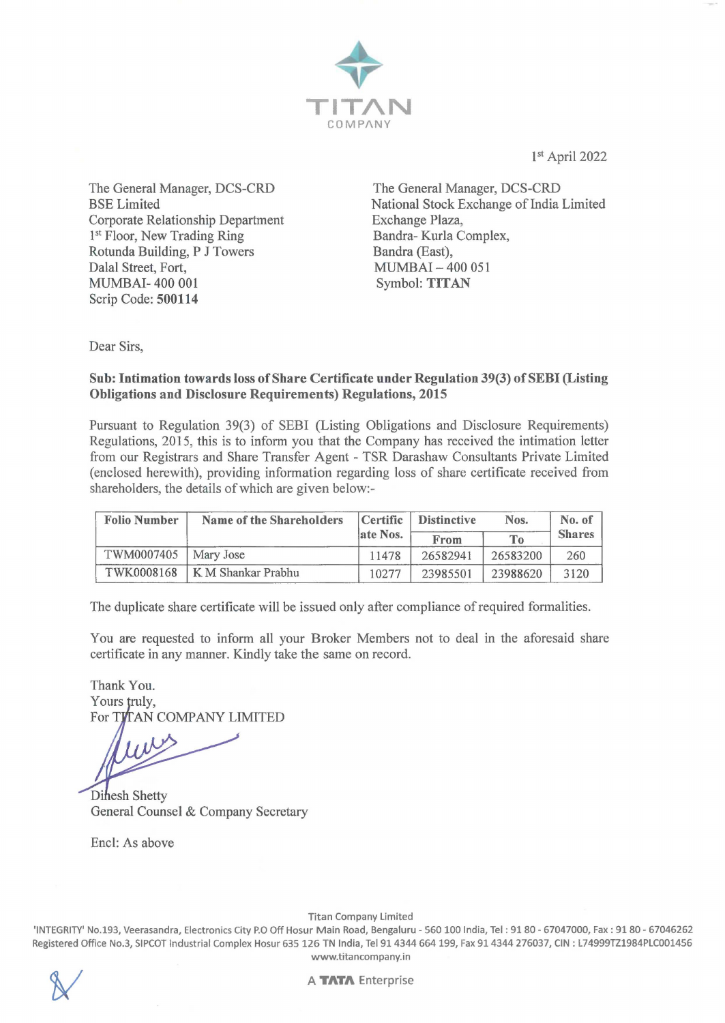

1st April 2022

The General Manager, DCS-CRD BSE Limited Corporate Relationship Department 1<sup>st</sup> Floor, New Trading Ring Rotunda Building, P J Towers Dalal Street, Fort, MUMBAI- 400 001 Scrip Code: **500114** 

The General Manager, DCS-CRD National Stock Exchange of India Limited Exchange Plaza, Bandra- Kurla Complex, Bandra (East), MUMBAI - 400 051 Symbol: **TITAN** 

Dear Sirs,

#### **Sub: Intimation towards loss of Share Certificate under Regulation 39(3) of SEBI (Listing Obligations and Disclosure Requirements) Regulations, 2015**

Pursuant to Regulation 39(3) of SEBI (Listing Obligations and Disclosure Requirements) Regulations, 2015, this is to inform you that the Company has received the intimation letter from our Registrars and Share Transfer Agent - TSR Darashaw Consultants Private Limited ( enclosed herewith), providing information regarding loss of share certificate received from shareholders, the details of which are given below:-

| <b>Folio Number</b> | Name of the Shareholders        | <b>Distinctive</b><br>Certific |          | Nos.           | No. of        |
|---------------------|---------------------------------|--------------------------------|----------|----------------|---------------|
|                     |                                 | late Nos.                      | From     | T <sub>o</sub> | <b>Shares</b> |
| TWM0007405          | Mary Jose                       | 11478                          | 26582941 | 26583200       | 260           |
|                     | TWK0008168   K M Shankar Prabhu | 10277                          | 23985501 | 23988620       | 3120          |

The duplicate share certificate will be issued only after compliance of required formalities.

You are requested to inform all your Broker Members not to deal in the aforesaid share certificate in any manner. Kindly take the same on record.

Thank You. Yours truly, For TITAN COMPANY LIMITED

Dinesh Shetty General Counsel & Company Secretary

Encl: As above

Titan Company Limited

'INTEGRITY' No.193, Veerasandra, Electronics City P.O Off Hosur Main Road, Bengaluru - 560 100 India, Tel: 9180 - 67047000, Fax: 91 80 - 67046262 Registered Office No.3, SIPCOT Industrial Complex Hosur 635 126 TN India, Tel 91 4344 664 199, Fax 914344 276037, CIN : L74999TZ1984PLC001456 www.titancompany.in

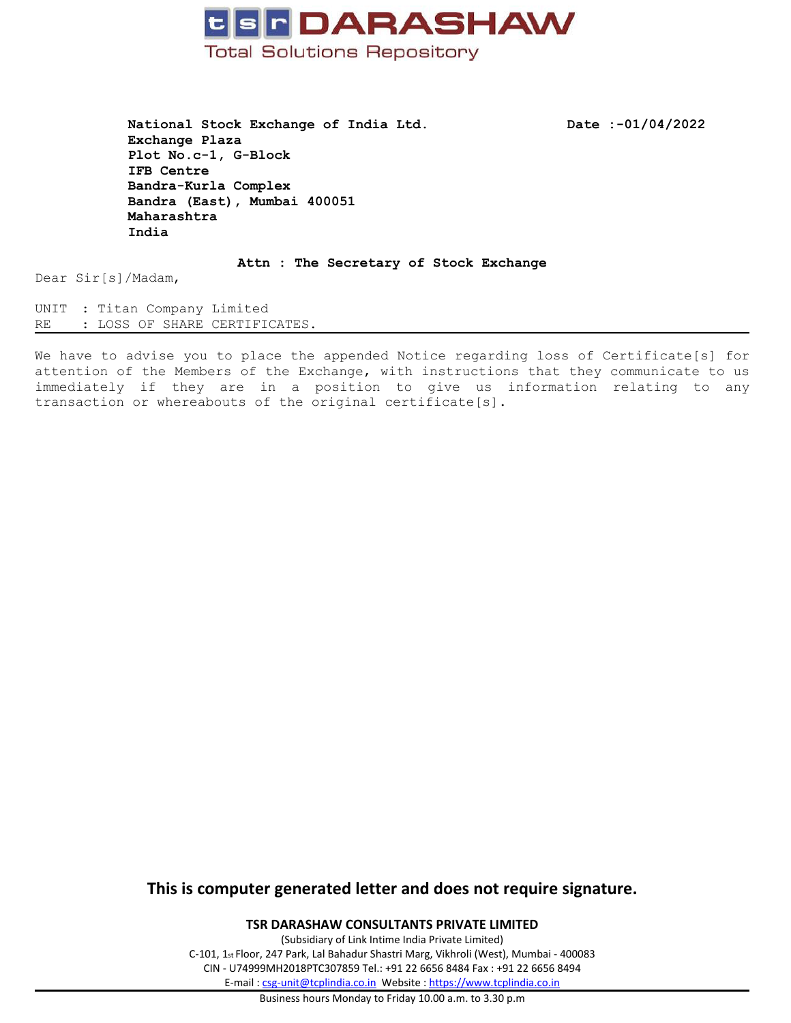

**National Stock Exchange of India Ltd. Date :-01/04/2022 Exchange Plaza Plot No.c-1, G-Block IFB Centre Bandra-Kurla Complex Bandra (East), Mumbai <sup>400051</sup> Maharashtra India**

**Attn : The Secretary of Stock Exchange**

Dear Sir[s]/Madam,

UNIT : Titan Company Limited RE : LOSS OF SHARE CERTIFICATES.

We have to advise you to place the appended Notice regarding loss of Certificate[s] for attention of the Members of the Exchange, with instructions that they communicate to us immediately if they are in <sup>a</sup> position to give us information relating to any transaction or whereabouts of the original certificate[s].

# **This is computer generated letter and does not require signature.**

**TSR DARASHAW CONSULTANTS PRIVATE LIMITED**

(Subsidiary of Link Intime India Private Limited) C-101, <sup>1</sup>st Floor, <sup>247</sup> Park, Lal Bahadur Shastri Marg, Vikhroli (West), Mumbai - <sup>400083</sup> CIN - U74999MH2018PTC307859 Tel.: +91 <sup>22</sup> <sup>6656</sup> <sup>8484</sup> Fax : +91 <sup>22</sup> <sup>6656</sup> <sup>8494</sup> E-mail : [csg-unit@tcplindia.co.in](mailto:csg-unit@tcplindia.co.in) Website : <https://www.tcplindia.co.in>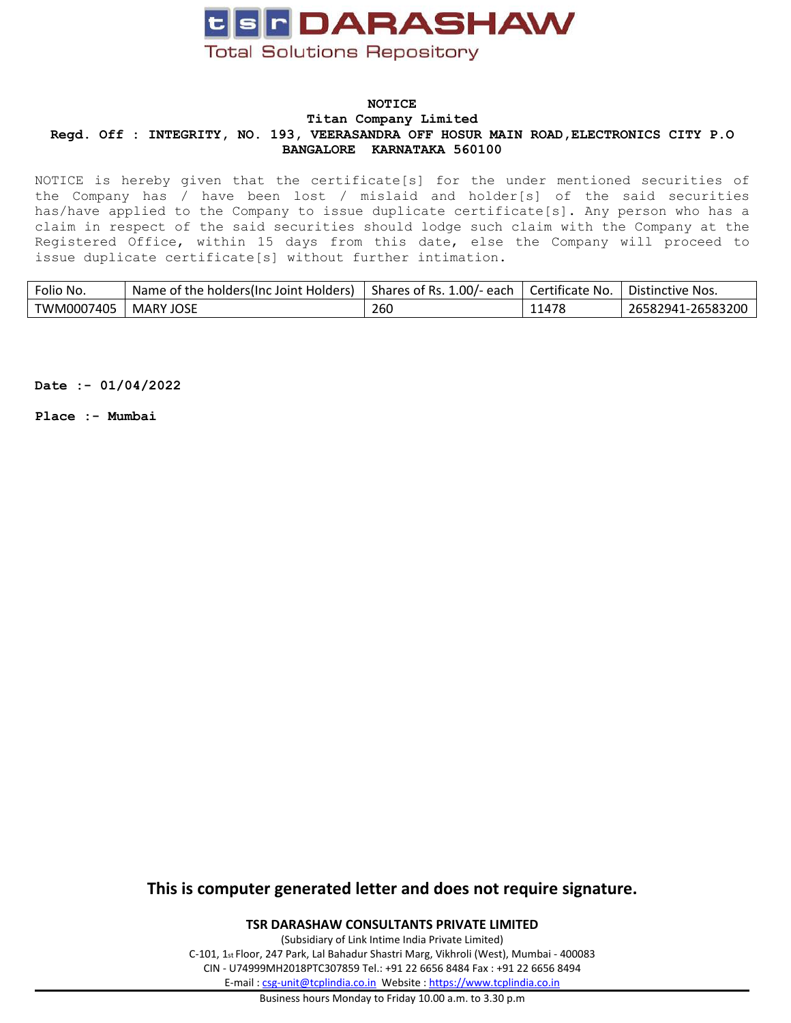

NOTICE is hereby given that the certificate[s] for the under mentioned securities of the Company has / have been lost / mislaid and holder[s] of the said securities has/have applied to the Company to issue duplicate certificate[s]. Any person who has <sup>a</sup> claim in respect of the said securities should lodge such claim with the Company at the Registered Office, within <sup>15</sup> days from this date, else the Company will proceed to issue duplicate certificate[s] without further intimation.

| Folio No.  | Name of the holders (Inc Joint Holders) | Shares of Rs. 1.00/- each | Certificate No. | ' Distinctive Nos. |
|------------|-----------------------------------------|---------------------------|-----------------|--------------------|
| TWM0007405 | <b>MARY JOSE</b>                        | 260                       | 11478           | 26582941-26583200  |
|            |                                         |                           |                 |                    |

**Date :- 01/04/2022**

**Place :- Mumbai**

# **This is computer generated letter and does not require signature.**

**TSR DARASHAW CONSULTANTS PRIVATE LIMITED**

(Subsidiary of Link Intime India Private Limited) C-101, <sup>1</sup>st Floor, <sup>247</sup> Park, Lal Bahadur Shastri Marg, Vikhroli (West), Mumbai - <sup>400083</sup> CIN - U74999MH2018PTC307859 Tel.: +91 <sup>22</sup> <sup>6656</sup> <sup>8484</sup> Fax : +91 <sup>22</sup> <sup>6656</sup> <sup>8494</sup> E-mail : [csg-unit@tcplindia.co.in](mailto:csg-unit@tcplindia.co.in) Website : <https://www.tcplindia.co.in>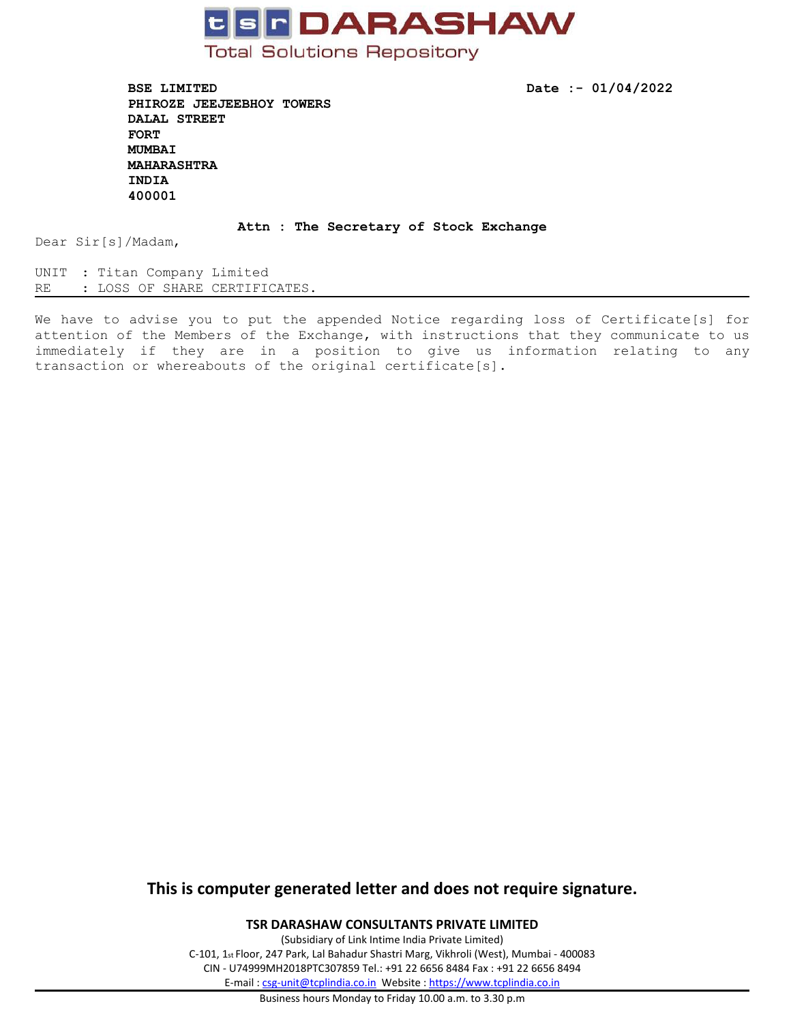

**BSE LIMITED Date :- 01/04/2022 PHIROZE JEEJEEBHOY TOWERS DALAL STREET FORT MUMBAI MAHARASHTRA INDIA 400001**

#### **Attn : The Secretary of Stock Exchange**

Dear Sir[s]/Madam,

UNIT : Titan Company Limited<br>RE : LOSS OF SHARE CERTIFI : LOSS OF SHARE CERTIFICATES.

We have to advise you to put the appended Notice regarding loss of Certificate[s] for attention of the Members of the Exchange, with instructions that they communicate to us immediately if they are in <sup>a</sup> position to give us information relating to any transaction or whereabouts of the original certificate[s].

# **This is computer generated letter and does not require signature.**

**TSR DARASHAW CONSULTANTS PRIVATE LIMITED**

(Subsidiary of Link Intime India Private Limited) C-101, <sup>1</sup>st Floor, <sup>247</sup> Park, Lal Bahadur Shastri Marg, Vikhroli (West), Mumbai - <sup>400083</sup> CIN - U74999MH2018PTC307859 Tel.: +91 <sup>22</sup> <sup>6656</sup> <sup>8484</sup> Fax : +91 <sup>22</sup> <sup>6656</sup> <sup>8494</sup> E-mail : [csg-unit@tcplindia.co.in](mailto:csg-unit@tcplindia.co.in) Website : <https://www.tcplindia.co.in>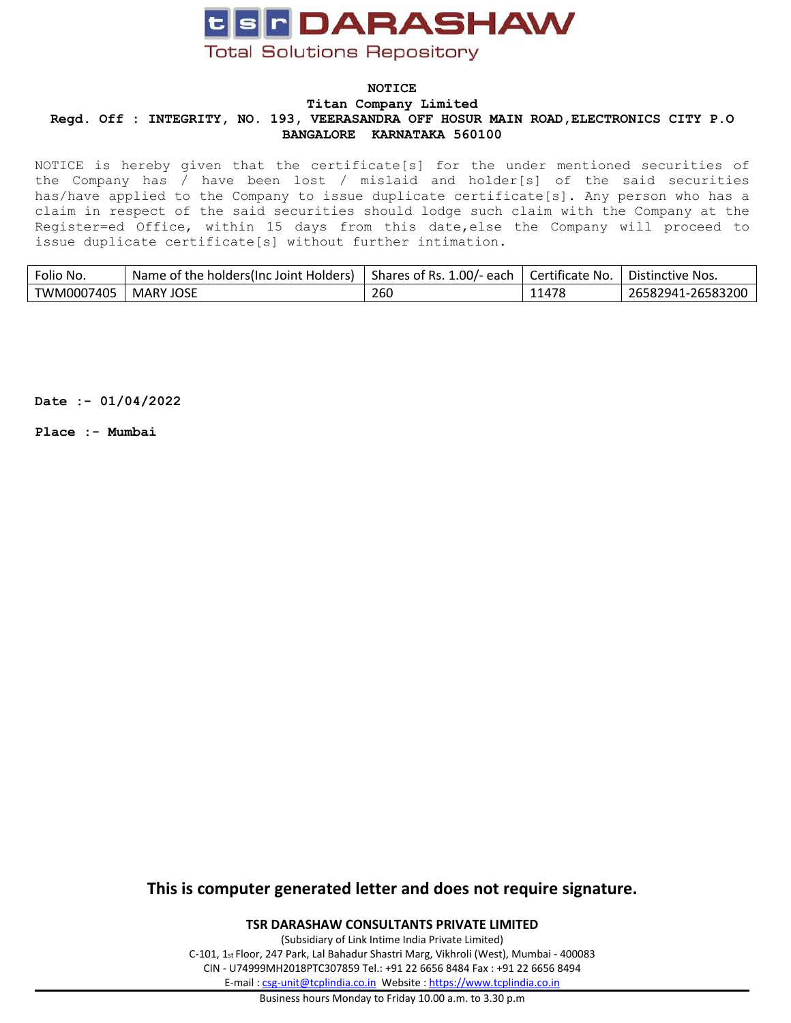

NOTICE is hereby given that the certificate[s] for the under mentioned securities of the Company has / have been lost / mislaid and holder[s] of the said securities has/have applied to the Company to issue duplicate certificate[s]. Any person who has <sup>a</sup> claim in respect of the said securities should lodge such claim with the Company at the Register=ed Office, within <sup>15</sup> days from this date,else the Company will proceed to issue duplicate certificate[s] without further intimation.

| Folio No.  | Name of the holders(Inc Joint Holders) | Shares of Rs. 1.00/- each | Certificate No. | Distinctive Nos.  |
|------------|----------------------------------------|---------------------------|-----------------|-------------------|
| TWM0007405 | MARY JOSE                              | 260                       | 11478           | 26582941-26583200 |
|            |                                        |                           |                 |                   |

**Date :- 01/04/2022**

**Place :- Mumbai**

# **This is computer generated letter and does not require signature.**

**TSR DARASHAW CONSULTANTS PRIVATE LIMITED**

(Subsidiary of Link Intime India Private Limited) C-101, <sup>1</sup>st Floor, <sup>247</sup> Park, Lal Bahadur Shastri Marg, Vikhroli (West), Mumbai - <sup>400083</sup> CIN - U74999MH2018PTC307859 Tel.: +91 <sup>22</sup> <sup>6656</sup> <sup>8484</sup> Fax : +91 <sup>22</sup> <sup>6656</sup> <sup>8494</sup> E-mail : [csg-unit@tcplindia.co.in](mailto:csg-unit@tcplindia.co.in) Website : <https://www.tcplindia.co.in>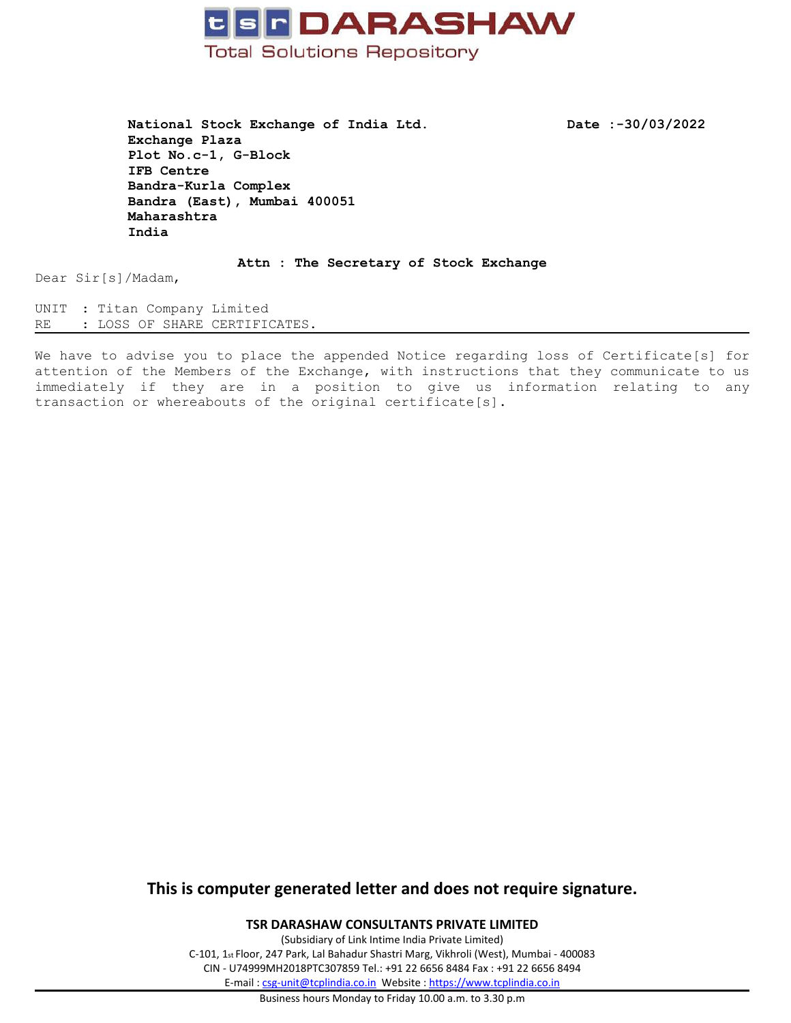

**National Stock Exchange of India Ltd. Date :-30/03/2022 Exchange Plaza Plot No.c-1, G-Block IFB Centre Bandra-Kurla Complex Bandra (East), Mumbai <sup>400051</sup> Maharashtra India**

**Attn : The Secretary of Stock Exchange**

Dear Sir[s]/Madam,

UNIT : Titan Company Limited RE : LOSS OF SHARE CERTIFICATES.

We have to advise you to place the appended Notice regarding loss of Certificate[s] for attention of the Members of the Exchange, with instructions that they communicate to us immediately if they are in <sup>a</sup> position to give us information relating to any transaction or whereabouts of the original certificate[s].

# **This is computer generated letter and does not require signature.**

**TSR DARASHAW CONSULTANTS PRIVATE LIMITED**

(Subsidiary of Link Intime India Private Limited) C-101, <sup>1</sup>st Floor, <sup>247</sup> Park, Lal Bahadur Shastri Marg, Vikhroli (West), Mumbai - <sup>400083</sup> CIN - U74999MH2018PTC307859 Tel.: +91 <sup>22</sup> <sup>6656</sup> <sup>8484</sup> Fax : +91 <sup>22</sup> <sup>6656</sup> <sup>8494</sup> E-mail : [csg-unit@tcplindia.co.in](mailto:csg-unit@tcplindia.co.in) Website : <https://www.tcplindia.co.in>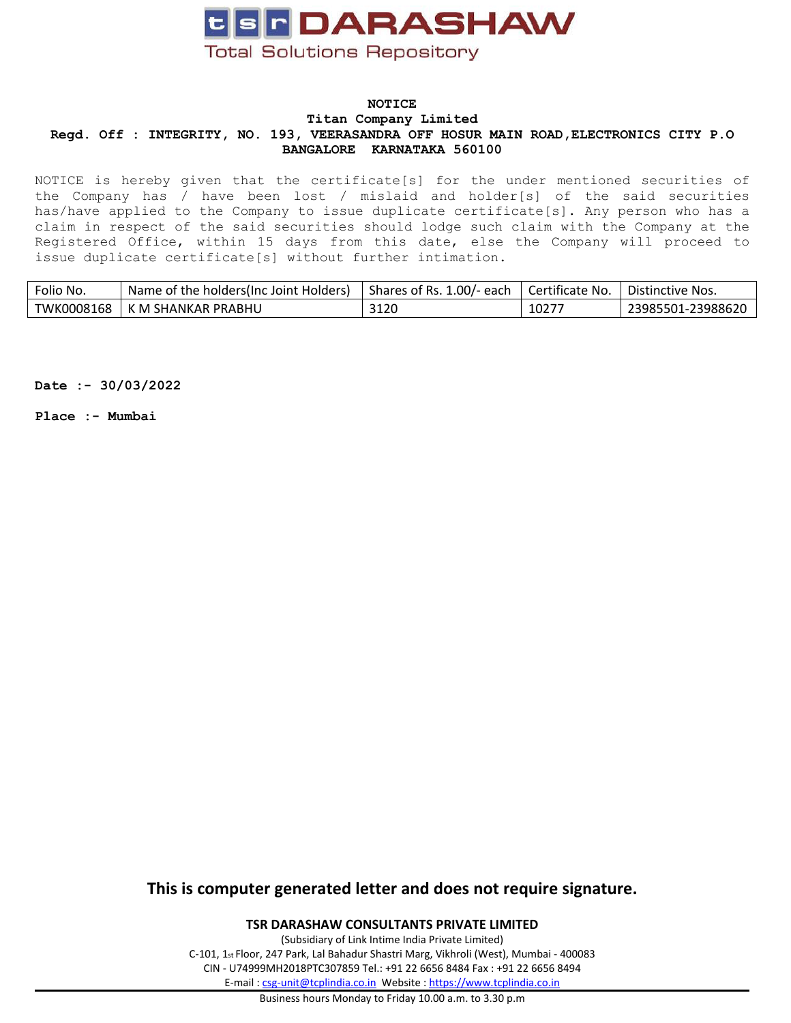

NOTICE is hereby given that the certificate[s] for the under mentioned securities of the Company has / have been lost / mislaid and holder[s] of the said securities has/have applied to the Company to issue duplicate certificate[s]. Any person who has <sup>a</sup> claim in respect of the said securities should lodge such claim with the Company at the Registered Office, within <sup>15</sup> days from this date, else the Company will proceed to issue duplicate certificate[s] without further intimation.

| Folio No.  | Name of the holders(Inc Joint Holders) | Shares of Rs. 1.00/- each | Certificate No. | Distinctive Nos.  |
|------------|----------------------------------------|---------------------------|-----------------|-------------------|
| TWK0008168 | K M SHANKAR PRABHU                     | 3120                      | $1027^-$        | 23985501-23988620 |
|            |                                        |                           |                 |                   |

**Date :- 30/03/2022**

**Place :- Mumbai**

# **This is computer generated letter and does not require signature.**

**TSR DARASHAW CONSULTANTS PRIVATE LIMITED**

(Subsidiary of Link Intime India Private Limited) C-101, <sup>1</sup>st Floor, <sup>247</sup> Park, Lal Bahadur Shastri Marg, Vikhroli (West), Mumbai - <sup>400083</sup> CIN - U74999MH2018PTC307859 Tel.: +91 <sup>22</sup> <sup>6656</sup> <sup>8484</sup> Fax : +91 <sup>22</sup> <sup>6656</sup> <sup>8494</sup> E-mail : [csg-unit@tcplindia.co.in](mailto:csg-unit@tcplindia.co.in) Website : <https://www.tcplindia.co.in>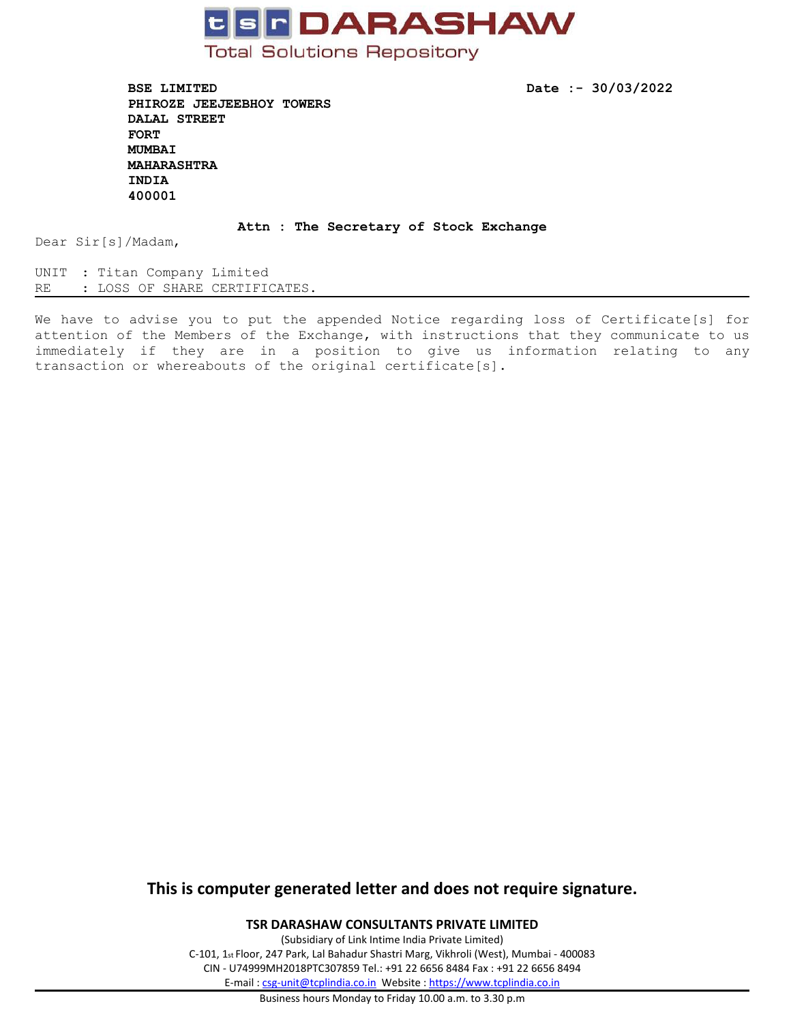

**BSE LIMITED Date :- 30/03/2022 PHIROZE JEEJEEBHOY TOWERS DALAL STREET FORT MUMBAI MAHARASHTRA INDIA 400001**

#### **Attn : The Secretary of Stock Exchange**

Dear Sir[s]/Madam,

UNIT : Titan Company Limited<br>RE : LOSS OF SHARE CERTIFI : LOSS OF SHARE CERTIFICATES.

We have to advise you to put the appended Notice regarding loss of Certificate[s] for attention of the Members of the Exchange, with instructions that they communicate to us immediately if they are in <sup>a</sup> position to give us information relating to any transaction or whereabouts of the original certificate[s].

# **This is computer generated letter and does not require signature.**

**TSR DARASHAW CONSULTANTS PRIVATE LIMITED**

(Subsidiary of Link Intime India Private Limited) C-101, <sup>1</sup>st Floor, <sup>247</sup> Park, Lal Bahadur Shastri Marg, Vikhroli (West), Mumbai - <sup>400083</sup> CIN - U74999MH2018PTC307859 Tel.: +91 <sup>22</sup> <sup>6656</sup> <sup>8484</sup> Fax : +91 <sup>22</sup> <sup>6656</sup> <sup>8494</sup> E-mail : [csg-unit@tcplindia.co.in](mailto:csg-unit@tcplindia.co.in) Website : <https://www.tcplindia.co.in>